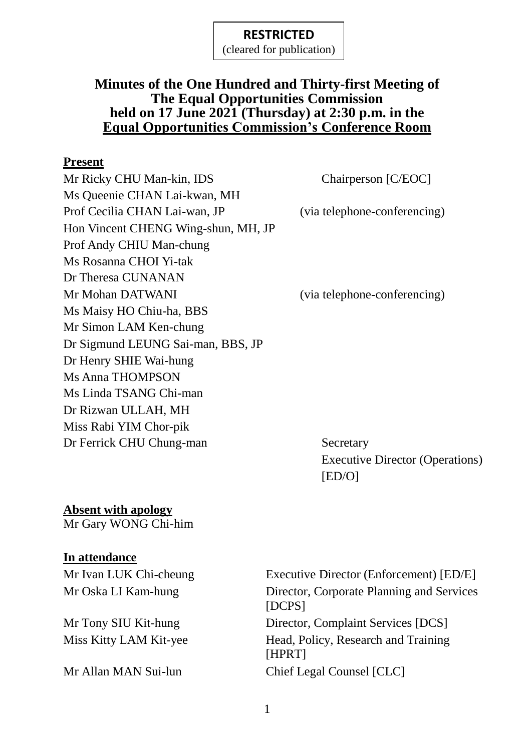(cleared for publication)

### **Minutes of the One Hundred and Thirty-first Meeting of The Equal Opportunities Commission held on 17 June 2021 (Thursday) at 2:30 p.m. in the Equal Opportunities Commission's Conference Room**

#### **Present**

Mr Ricky CHU Man-kin, IDS Chairperson [C/EOC] Ms Queenie CHAN Lai-kwan, MH Prof Cecilia CHAN Lai-wan, JP (via telephone-conferencing) Hon Vincent CHENG Wing-shun, MH, JP Prof Andy CHIU Man-chung Ms Rosanna CHOI Yi-tak Dr Theresa CUNANAN Mr Mohan DATWANI (via telephone-conferencing) Ms Maisy HO Chiu-ha, BBS Mr Simon LAM Ken-chung Dr Sigmund LEUNG Sai-man, BBS, JP Dr Henry SHIE Wai-hung Ms Anna THOMPSON Ms Linda TSANG Chi-man Dr Rizwan ULLAH, MH Miss Rabi YIM Chor-pik Dr Ferrick CHU Chung-man Secretary

Executive Director (Operations) [ED/O]

## **Absent with apology**

Mr Gary WONG Chi-him

### **In attendance**

Mr Ivan LUK Chi-cheung Executive Director (Enforcement) [ED/E] Mr Oska LI Kam-hung Director, Corporate Planning and Services [DCPS] Mr Tony SIU Kit-hung Director, Complaint Services [DCS] Miss Kitty LAM Kit-yee Head, Policy, Research and Training [HPRT] Mr Allan MAN Sui-lun Chief Legal Counsel [CLC]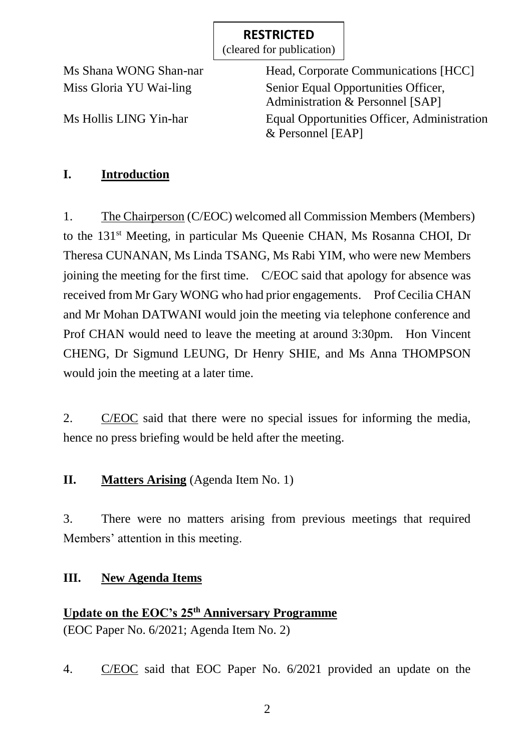(cleared for publication)

Ms Shana WONG Shan-nar Head, Corporate Communications [HCC] Miss Gloria YU Wai-ling Senior Equal Opportunities Officer, Administration & Personnel [SAP] Ms Hollis LING Yin-har Equal Opportunities Officer, Administration & Personnel [EAP]

## **I. Introduction**

1. The Chairperson (C/EOC) welcomed all Commission Members (Members) to the 131st Meeting, in particular Ms Queenie CHAN, Ms Rosanna CHOI, Dr Theresa CUNANAN, Ms Linda TSANG, Ms Rabi YIM, who were new Members joining the meeting for the first time. C/EOC said that apology for absence was received from Mr Gary WONG who had prior engagements. Prof Cecilia CHAN and Mr Mohan DATWANI would join the meeting via telephone conference and Prof CHAN would need to leave the meeting at around 3:30pm. Hon Vincent CHENG, Dr Sigmund LEUNG, Dr Henry SHIE, and Ms Anna THOMPSON would join the meeting at a later time.

2. C/EOC said that there were no special issues for informing the media, hence no press briefing would be held after the meeting.

## **II. Matters Arising** (Agenda Item No. 1)

3. There were no matters arising from previous meetings that required Members' attention in this meeting.

## **III. New Agenda Items**

# **Update on the EOC's 25th Anniversary Programme** (EOC Paper No. 6/2021; Agenda Item No. 2)

4. C/EOC said that EOC Paper No. 6/2021 provided an update on the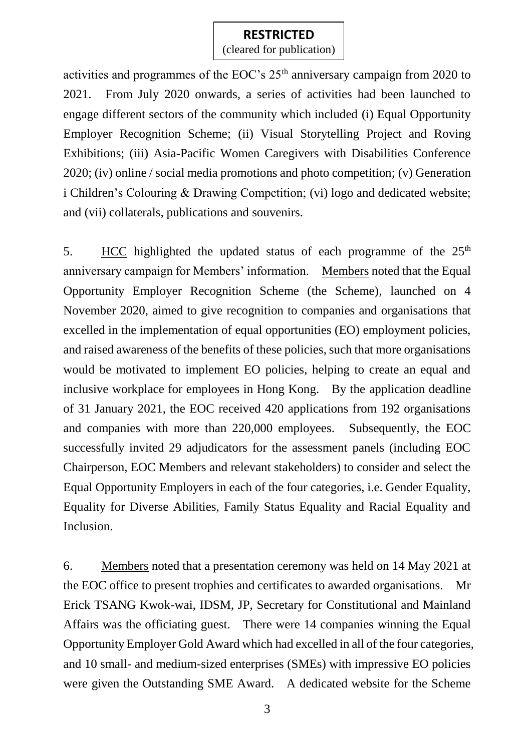(cleared for publication)

activities and programmes of the EOC's  $25<sup>th</sup>$  anniversary campaign from 2020 to 2021. From July 2020 onwards, a series of activities had been launched to engage different sectors of the community which included (i) Equal Opportunity Employer Recognition Scheme; (ii) Visual Storytelling Project and Roving Exhibitions; (iii) Asia-Pacific Women Caregivers with Disabilities Conference 2020; (iv) online / social media promotions and photo competition; (v) Generation i Children's Colouring & Drawing Competition; (vi) logo and dedicated website; and (vii) collaterals, publications and souvenirs.

5. HCC highlighted the updated status of each programme of the  $25<sup>th</sup>$ anniversary campaign for Members' information. Members noted that the Equal Opportunity Employer Recognition Scheme (the Scheme), launched on 4 November 2020, aimed to give recognition to companies and organisations that excelled in the implementation of equal opportunities (EO) employment policies, and raised awareness of the benefits of these policies, such that more organisations would be motivated to implement EO policies, helping to create an equal and inclusive workplace for employees in Hong Kong. By the application deadline of 31 January 2021, the EOC received 420 applications from 192 organisations and companies with more than 220,000 employees. Subsequently, the EOC successfully invited 29 adjudicators for the assessment panels (including EOC Chairperson, EOC Members and relevant stakeholders) to consider and select the Equal Opportunity Employers in each of the four categories, i.e. Gender Equality, Equality for Diverse Abilities, Family Status Equality and Racial Equality and Inclusion.

6. Members noted that a presentation ceremony was held on 14 May 2021 at the EOC office to present trophies and certificates to awarded organisations. Mr Erick TSANG Kwok-wai, IDSM, JP, Secretary for Constitutional and Mainland Affairs was the officiating guest. There were 14 companies winning the Equal Opportunity Employer Gold Award which had excelled in all of the four categories, and 10 small- and medium-sized enterprises (SMEs) with impressive EO policies were given the Outstanding SME Award. A dedicated website for the Scheme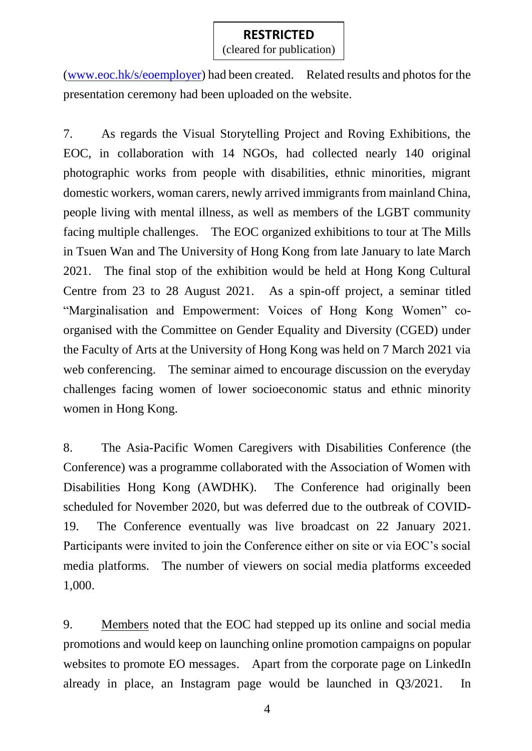(cleared for publication)

[\(www.eoc.hk/s/eoemployer\)](http://www.eoc.hk/s/eoemployer) had been created. Related results and photos for the presentation ceremony had been uploaded on the website.

7. As regards the Visual Storytelling Project and Roving Exhibitions, the EOC, in collaboration with 14 NGOs, had collected nearly 140 original photographic works from people with disabilities, ethnic minorities, migrant domestic workers, woman carers, newly arrived immigrants from mainland China, people living with mental illness, as well as members of the LGBT community facing multiple challenges. The EOC organized exhibitions to tour at The Mills in Tsuen Wan and The University of Hong Kong from late January to late March 2021. The final stop of the exhibition would be held at Hong Kong Cultural Centre from 23 to 28 August 2021. As a spin-off project, a seminar titled "Marginalisation and Empowerment: Voices of Hong Kong Women" coorganised with the Committee on Gender Equality and Diversity (CGED) under the Faculty of Arts at the University of Hong Kong was held on 7 March 2021 via web conferencing. The seminar aimed to encourage discussion on the everyday challenges facing women of lower socioeconomic status and ethnic minority women in Hong Kong.

8. The Asia-Pacific Women Caregivers with Disabilities Conference (the Conference) was a programme collaborated with the Association of Women with Disabilities Hong Kong (AWDHK). The Conference had originally been scheduled for November 2020, but was deferred due to the outbreak of COVID-19. The Conference eventually was live broadcast on 22 January 2021. Participants were invited to join the Conference either on site or via EOC's social media platforms. The number of viewers on social media platforms exceeded 1,000.

9. Members noted that the EOC had stepped up its online and social media promotions and would keep on launching online promotion campaigns on popular websites to promote EO messages. Apart from the corporate page on LinkedIn already in place, an Instagram page would be launched in Q3/2021. In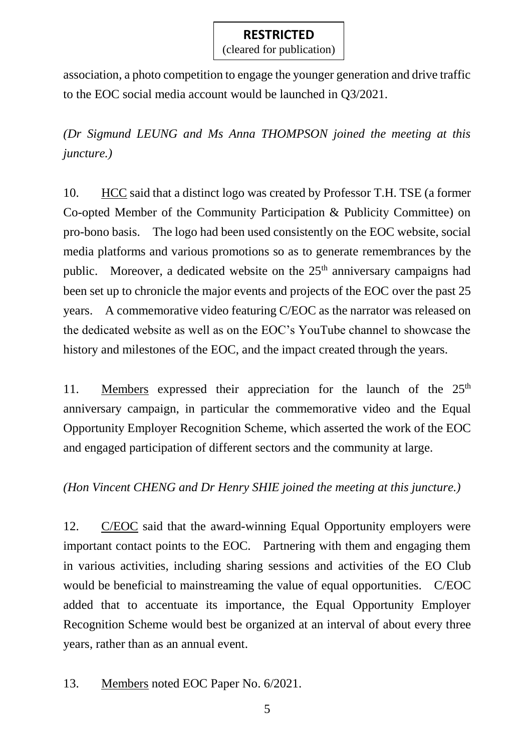(cleared for publication)

association, a photo competition to engage the younger generation and drive traffic to the EOC social media account would be launched in Q3/2021.

*(Dr Sigmund LEUNG and Ms Anna THOMPSON joined the meeting at this juncture.)*

10. HCC said that a distinct logo was created by Professor T.H. TSE (a former Co-opted Member of the Community Participation & Publicity Committee) on pro-bono basis. The logo had been used consistently on the EOC website, social media platforms and various promotions so as to generate remembrances by the public. Moreover, a dedicated website on the 25<sup>th</sup> anniversary campaigns had been set up to chronicle the major events and projects of the EOC over the past 25 years. A commemorative video featuring C/EOC as the narrator was released on the dedicated website as well as on the EOC's YouTube channel to showcase the history and milestones of the EOC, and the impact created through the years.

11. Members expressed their appreciation for the launch of the  $25<sup>th</sup>$ anniversary campaign, in particular the commemorative video and the Equal Opportunity Employer Recognition Scheme, which asserted the work of the EOC and engaged participation of different sectors and the community at large.

*(Hon Vincent CHENG and Dr Henry SHIE joined the meeting at this juncture.)*

12. C/EOC said that the award-winning Equal Opportunity employers were important contact points to the EOC. Partnering with them and engaging them in various activities, including sharing sessions and activities of the EO Club would be beneficial to mainstreaming the value of equal opportunities. C/EOC added that to accentuate its importance, the Equal Opportunity Employer Recognition Scheme would best be organized at an interval of about every three years, rather than as an annual event.

13. Members noted EOC Paper No. 6/2021.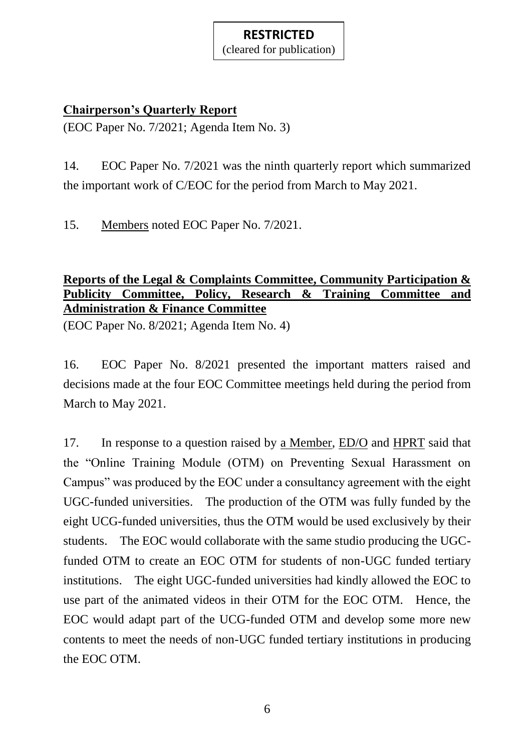(cleared for publication)

### **Chairperson's Quarterly Report**

(EOC Paper No. 7/2021; Agenda Item No. 3)

14. EOC Paper No. 7/2021 was the ninth quarterly report which summarized the important work of C/EOC for the period from March to May 2021.

15. Members noted EOC Paper No. 7/2021.

## **Reports of the Legal & Complaints Committee, Community Participation & Publicity Committee, Policy, Research & Training Committee and Administration & Finance Committee**

(EOC Paper No. 8/2021; Agenda Item No. 4)

16. EOC Paper No. 8/2021 presented the important matters raised and decisions made at the four EOC Committee meetings held during the period from March to May 2021.

17. In response to a question raised by a Member, ED/O and HPRT said that the "Online Training Module (OTM) on Preventing Sexual Harassment on Campus" was produced by the EOC under a consultancy agreement with the eight UGC-funded universities. The production of the OTM was fully funded by the eight UCG-funded universities, thus the OTM would be used exclusively by their students. The EOC would collaborate with the same studio producing the UGCfunded OTM to create an EOC OTM for students of non-UGC funded tertiary institutions. The eight UGC-funded universities had kindly allowed the EOC to use part of the animated videos in their OTM for the EOC OTM. Hence, the EOC would adapt part of the UCG-funded OTM and develop some more new contents to meet the needs of non-UGC funded tertiary institutions in producing the EOC OTM.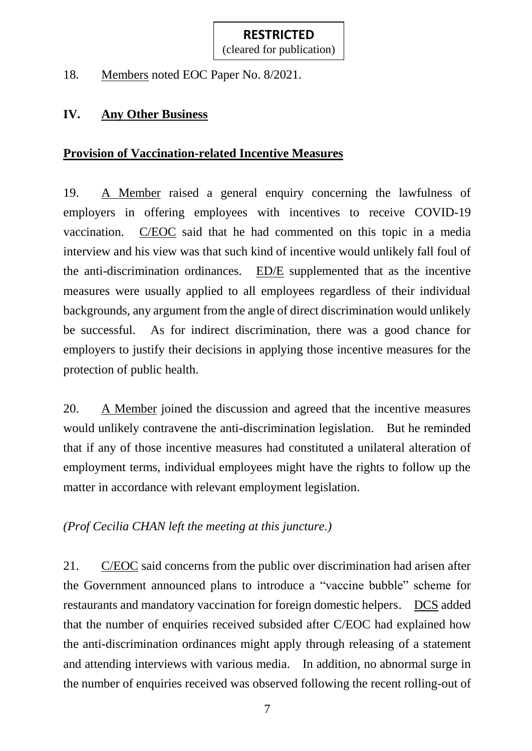18. Members noted EOC Paper No. 8/2021.

## **IV. Any Other Business**

## **Provision of Vaccination-related Incentive Measures**

19. A Member raised a general enquiry concerning the lawfulness of employers in offering employees with incentives to receive COVID-19 vaccination. C/EOC said that he had commented on this topic in a media interview and his view was that such kind of incentive would unlikely fall foul of the anti-discrimination ordinances. ED/E supplemented that as the incentive measures were usually applied to all employees regardless of their individual backgrounds, any argument from the angle of direct discrimination would unlikely be successful. As for indirect discrimination, there was a good chance for employers to justify their decisions in applying those incentive measures for the protection of public health.

20. A Member joined the discussion and agreed that the incentive measures would unlikely contravene the anti-discrimination legislation. But he reminded that if any of those incentive measures had constituted a unilateral alteration of employment terms, individual employees might have the rights to follow up the matter in accordance with relevant employment legislation.

*(Prof Cecilia CHAN left the meeting at this juncture.)*

21. C/EOC said concerns from the public over discrimination had arisen after the Government announced plans to introduce a "vaccine bubble" scheme for restaurants and mandatory vaccination for foreign domestic helpers. DCS added that the number of enquiries received subsided after C/EOC had explained how the anti-discrimination ordinances might apply through releasing of a statement and attending interviews with various media. In addition, no abnormal surge in the number of enquiries received was observed following the recent rolling-out of